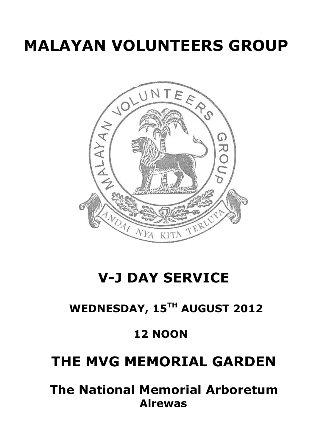# **MALAYAN VOLUNTEERS GROUP**



## **V-J DAY SERVICE**

## **WEDNESDAY, 15TH AUGUST 2012**

### **12 NOON**

### **THE MVG MEMORIAL GARDEN**

 **The National Memorial Arboretum Alrewas**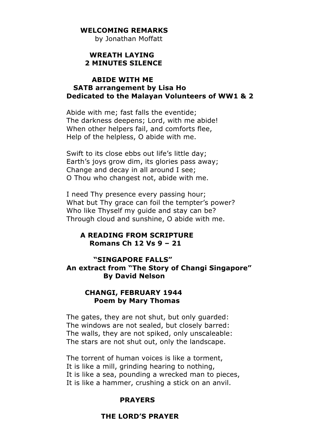#### **WELCOMING REMARKS**

by Jonathan Moffatt

#### **WREATH LAYING 2 MINUTES SILENCE**

#### **ABIDE WITH ME SATB arrangement by Lisa Ho Dedicated to the Malayan Volunteers of WW1 & 2**

Abide with me; fast falls the eventide; The darkness deepens; Lord, with me abide! When other helpers fail, and comforts flee, Help of the helpless, O abide with me.

Swift to its close ebbs out life's little day; Earth's joys grow dim, its glories pass away; Change and decay in all around I see; O Thou who changest not, abide with me.

I need Thy presence every passing hour; What but Thy grace can foil the tempter's power? Who like Thyself my guide and stay can be? Through cloud and sunshine, O abide with me.

#### **A READING FROM SCRIPTURE Romans Ch 12 Vs 9 – 21**

#### **"SINGAPORE FALLS" An extract from "The Story of Changi Singapore" By David Nelson**

#### **CHANGI, FEBRUARY 1944 Poem by Mary Thomas**

The gates, they are not shut, but only guarded: The windows are not sealed, but closely barred: The walls, they are not spiked, only unscaleable: The stars are not shut out, only the landscape.

The torrent of human voices is like a torment, It is like a mill, grinding hearing to nothing, It is like a sea, pounding a wrecked man to pieces, It is like a hammer, crushing a stick on an anvil.

#### **PRAYERS**

#### **THE LORD'S PRAYER**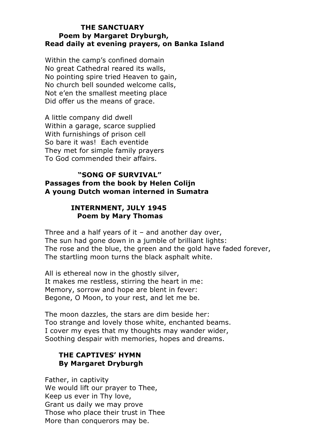#### **THE SANCTUARY Poem by Margaret Dryburgh, Read daily at evening prayers, on Banka Island**

Within the camp's confined domain No great Cathedral reared its walls, No pointing spire tried Heaven to gain, No church bell sounded welcome calls, Not e'en the smallest meeting place Did offer us the means of grace.

A little company did dwell Within a garage, scarce supplied With furnishings of prison cell So bare it was! Each eventide They met for simple family prayers To God commended their affairs.

#### **"SONG OF SURVIVAL" Passages from the book by Helen Colijn A young Dutch woman interned in Sumatra**

#### **INTERNMENT, JULY 1945 Poem by Mary Thomas**

Three and a half years of it – and another day over, The sun had gone down in a jumble of brilliant lights: The rose and the blue, the green and the gold have faded forever, The startling moon turns the black asphalt white.

All is ethereal now in the ghostly silver, It makes me restless, stirring the heart in me: Memory, sorrow and hope are blent in fever: Begone, O Moon, to your rest, and let me be.

The moon dazzles, the stars are dim beside her: Too strange and lovely those white, enchanted beams. I cover my eyes that my thoughts may wander wider, Soothing despair with memories, hopes and dreams.

#### **THE CAPTIVES' HYMN By Margaret Dryburgh**

Father, in captivity We would lift our prayer to Thee, Keep us ever in Thy love, Grant us daily we may prove Those who place their trust in Thee More than conquerors may be.